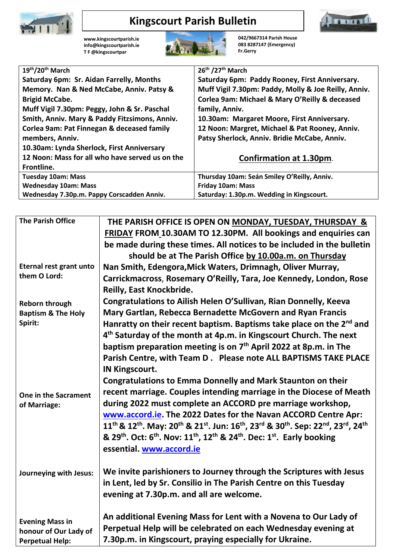

## **Kingscourt Parish Bulletin**



**[www.kingscourtparish.ie](http://www.kingscourtparish.ie/) info@kingscourtparish.ie T F @kingscourtpar** 



**042/9667314 Parish House 083 8287147 (Emergency) Fr.Gerry**

| 19th/20th March                                 | 26th /27th March                                     |
|-------------------------------------------------|------------------------------------------------------|
| Saturday 6pm: Sr. Aidan Farrelly, Months        | Saturday 6pm: Paddy Rooney, First Anniversary.       |
| Memory. Nan & Ned McCabe, Anniv. Patsy &        | Muff Vigil 7.30pm: Paddy, Molly & Joe Reilly, Anniv. |
| <b>Brigid McCabe.</b>                           | Corlea 9am: Michael & Mary O'Reilly & deceased       |
| Muff Vigil 7.30pm: Peggy, John & Sr. Paschal    | family, Anniv.                                       |
| Smith, Anniv. Mary & Paddy Fitzsimons, Anniv.   | 10.30am: Margaret Moore, First Anniversary.          |
| Corlea 9am: Pat Finnegan & deceased family      | 12 Noon: Margret, Michael & Pat Rooney, Anniv.       |
| members, Anniv.                                 | Patsy Sherlock, Anniv. Bridie McCabe, Anniv.         |
| 10.30am: Lynda Sherlock, First Anniversary      |                                                      |
| 12 Noon: Mass for all who have served us on the | <b>Confirmation at 1.30pm.</b>                       |
| Frontline.                                      |                                                      |
| <b>Tuesday 10am: Mass</b>                       | Thursday 10am: Seán Smiley O'Reilly, Anniv.          |
| <b>Wednesday 10am: Mass</b>                     | <b>Friday 10am: Mass</b>                             |
| Wednesday 7.30p.m. Pappy Corscadden Anniv.      | Saturday: 1.30p.m. Wedding in Kingscourt.            |

| <b>The Parish Office</b>      | THE PARISH OFFICE IS OPEN ON MONDAY, TUESDAY, THURSDAY &                                                                                                                                                   |
|-------------------------------|------------------------------------------------------------------------------------------------------------------------------------------------------------------------------------------------------------|
|                               | FRIDAY FROM 10.30AM TO 12.30PM. All bookings and enquiries can                                                                                                                                             |
|                               | be made during these times. All notices to be included in the bulletin                                                                                                                                     |
|                               | should be at The Parish Office by 10.00a.m. on Thursday                                                                                                                                                    |
| Eternal rest grant unto       | Nan Smith, Edengora, Mick Waters, Drimnagh, Oliver Murray,                                                                                                                                                 |
| them O Lord:                  | Carrickmacross, Rosemary O'Reilly, Tara, Joe Kennedy, London, Rose                                                                                                                                         |
|                               | Reilly, East Knockbride.                                                                                                                                                                                   |
| <b>Reborn through</b>         | Congratulations to Ailish Helen O'Sullivan, Rian Donnelly, Keeva                                                                                                                                           |
| <b>Baptism &amp; The Holy</b> | Mary Gartlan, Rebecca Bernadette McGovern and Ryan Francis                                                                                                                                                 |
| Spirit:                       | Hanratty on their recent baptism. Baptisms take place on the 2 <sup>nd</sup> and                                                                                                                           |
|                               | 4 <sup>th</sup> Saturday of the month at 4p.m. in Kingscourt Church. The next                                                                                                                              |
|                               | baptism preparation meeting is on 7 <sup>th</sup> April 2022 at 8p.m. in The                                                                                                                               |
|                               | Parish Centre, with Team D. Please note ALL BAPTISMS TAKE PLACE                                                                                                                                            |
|                               | <b>IN Kingscourt.</b>                                                                                                                                                                                      |
|                               | Congratulations to Emma Donnelly and Mark Staunton on their                                                                                                                                                |
| One in the Sacrament          | recent marriage. Couples intending marriage in the Diocese of Meath                                                                                                                                        |
| of Marriage:                  | during 2022 must complete an ACCORD pre marriage workshop,                                                                                                                                                 |
|                               | www.accord.ie. The 2022 Dates for the Navan ACCORD Centre Apr:                                                                                                                                             |
|                               | 11 <sup>th</sup> & 12 <sup>th</sup> . May: 20 <sup>th</sup> & 21 <sup>st</sup> . Jun: 16 <sup>th</sup> , 23 <sup>rd</sup> & 30 <sup>th</sup> . Sep: 22 <sup>nd</sup> , 23 <sup>rd</sup> , 24 <sup>th</sup> |
|                               | & 29 <sup>th</sup> . Oct: 6 <sup>th</sup> . Nov: 11 <sup>th</sup> , 12 <sup>th</sup> & 24 <sup>th</sup> . Dec: 1 <sup>st</sup> . Early booking                                                             |
|                               | essential. www.accord.ie                                                                                                                                                                                   |
|                               |                                                                                                                                                                                                            |
| Journeying with Jesus:        | We invite parishioners to Journey through the Scriptures with Jesus                                                                                                                                        |
|                               | in Lent, led by Sr. Consilio in The Parish Centre on this Tuesday                                                                                                                                          |
|                               | evening at 7.30p.m. and all are welcome.                                                                                                                                                                   |
|                               |                                                                                                                                                                                                            |
| <b>Evening Mass in</b>        | An additional Evening Mass for Lent with a Novena to Our Lady of                                                                                                                                           |
| honour of Our Lady of         | Perpetual Help will be celebrated on each Wednesday evening at                                                                                                                                             |
| <b>Perpetual Help:</b>        | 7.30p.m. in Kingscourt, praying especially for Ukraine.                                                                                                                                                    |